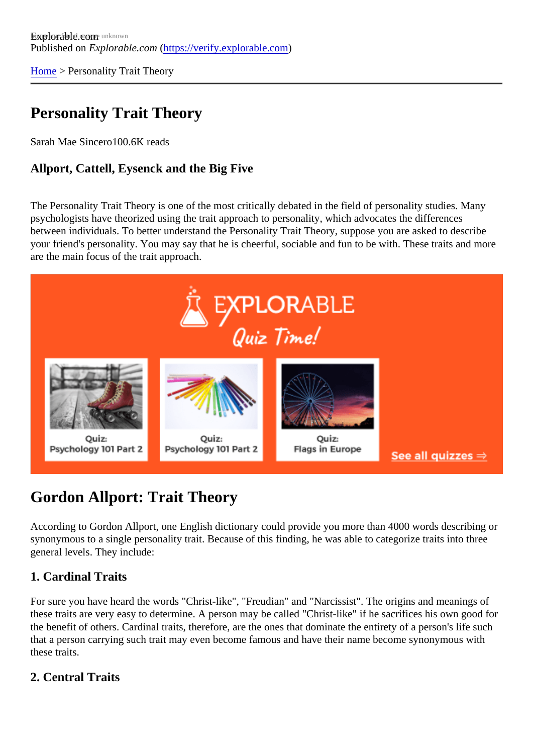[Home](https://verify.explorable.com/)> Personality Trait Theory

# Personality Trait Theory

Sarah Mae Sincet@0.6K reads

Allport, Cattell, Eysenck and the Big Five

The Personality Trait Theory is one of the most critically debated in the field of personality studies. Many psychologists have theorized using the trait approach to personality, which advocates the differences between individuals. To better understand the Personality Trait Theory, suppose you are asked to describ your friend's personality. You may say that he is cheerful, sociable and fun to be with. These traits and mo are the main focus of the trait approach.

## Gordon Allport: Trait Theory

According to Gordon Allport, one English dictionary could provide you more than 4000 words describing or synonymous to a single personality trait. Because of this finding, he was able to categorize traits into three general levels. They include:

### 1. Cardinal Traits

For sure you have heard the words "Christ-like", "Freudian" and "Narcissist". The origins and meanings of these traits are very easy to determine. A person may be called "Christ-like" if he sacrifices his own good f the benefit of others. Cardinal traits, therefore, are the ones that dominate the entirety of a person's life su that a person carrying such trait may even become famous and have their name become synonymous with these traits.

#### 2. Central Traits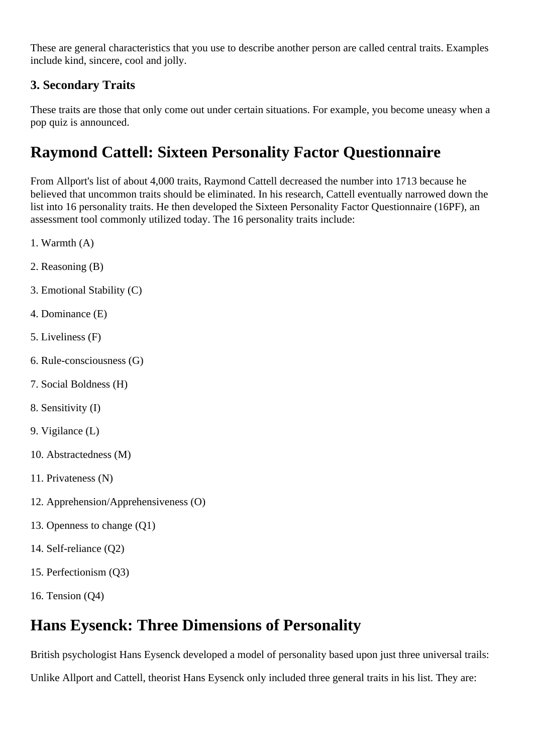These are general characteristics that you use to describe another person are called central traits. Examples include kind, sincere, cool and jolly.

### **3. Secondary Traits**

These traits are those that only come out under certain situations. For example, you become uneasy when a pop quiz is announced.

# **Raymond Cattell: Sixteen Personality Factor Questionnaire**

From Allport's list of about 4,000 traits, Raymond Cattell decreased the number into 1713 because he believed that uncommon traits should be eliminated. In his research, Cattell eventually narrowed down the list into 16 personality traits. He then developed the Sixteen Personality Factor Questionnaire (16PF), an assessment tool commonly utilized today. The 16 personality traits include:

- 1. Warmth (A)
- 2. Reasoning (B)
- 3. Emotional Stability (C)
- 4. Dominance (E)
- 5. Liveliness (F)
- 6. Rule-consciousness (G)
- 7. Social Boldness (H)
- 8. Sensitivity (I)
- 9. Vigilance (L)
- 10. Abstractedness (M)
- 11. Privateness (N)
- 12. Apprehension/Apprehensiveness (O)
- 13. Openness to change (Q1)
- 14. Self-reliance (Q2)
- 15. Perfectionism (Q3)
- 16. Tension (Q4)

### **Hans Eysenck: Three Dimensions of Personality**

British psychologist Hans Eysenck developed a model of personality based upon just three universal trails:

Unlike Allport and Cattell, theorist Hans Eysenck only included three general traits in his list. They are: